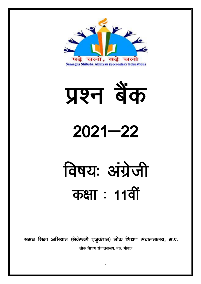



# $2021 - 22$

# विषय: अंग्रेजी कक्षा : 11वीं

समग्र शिक्षा अभियान (सेकेण्डरी एजुकेशन) लोक शिक्षण संचालनालय, म.प्र. लोक शिक्षण संचालनालय. म.प्र. भोपाल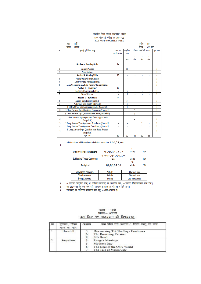#### माध्यमिक शिक्षा मण्डल, मध्यप्रदेश, भोपाल हायर सेकेण्डरी परीक्षा सत्र 2021-22 BLUE PRINT OF QUESTION PAPER

|                | कक्षा := 11वीं                                                 |            |                |     | पूर्णांक :- 80            |                  |           |
|----------------|----------------------------------------------------------------|------------|----------------|-----|---------------------------|------------------|-----------|
|                | विषय :-- अंग्रेजी                                              |            |                |     |                           | समय :– 3:00 घंटे |           |
| क              | इकाई एवं विषय वस्त्                                            | इकाई पर    | वस्तुनिष्ठ     |     | अंकवार प्रश्नों की संख्या |                  | कल प्रश्न |
|                |                                                                | आवंटित अंक | प्रश्न         |     |                           |                  |           |
|                |                                                                |            | 1              | 2   | 3                         | 4                |           |
|                |                                                                |            | अंक            | अंक | अंक                       | अंक              |           |
|                | <b>Section A Reading Skills</b>                                | 14         | ٠              | ä,  | ٠                         | ٠                | ٠         |
|                |                                                                |            | $\overline{a}$ | ٠   | ٠                         | ٠                |           |
| 1              | <b>Unseen Passage</b>                                          | ä,         | 10             | ٠   | ×,                        | ٠                | 1         |
| $\overline{2}$ | <b>Note Making</b>                                             |            | ٠              | ä,  | ٠                         | 1                | 1         |
|                | <b>Section B Writing Skills</b>                                | 12         | ٠              | ٠   | ٠                         | ٠                | i.        |
| 3              | Notice/Advertisement/Poster                                    | ٠          | ٠              | ٠   | ٠                         | 1                | 1         |
| 4              | Letter Writing Formal/informal                                 | ٠          | ٠              | ۰   | ٠                         | 1                | 1         |
| 5              | Long Composition Article/ Reports/ Speech/Debate               |            | ٠              | ٠   | ٠                         | ı                | 1         |
|                | <b>Section C</b> Grammar                                       | 10         |                | ٠   | ٠                         | ٠                | i.        |
| 6              | Sentence Corrections/Fill ups                                  | ä,         | 5              | ٠   | ٠                         | ٠                | 1         |
| 7              | Do as Directed                                                 | ٠          | 5              | ٠   | ٠                         | ٠                | 1         |
|                | <b>Section D</b> Textbooks                                     | 44         | ä,             | ٠   | ٠                         | $\blacksquare$   | Ĭ.        |
| 8              | <b>Extract from Prose (Hornbill)</b>                           | ä,         | 5              | ä,  | ä,                        | ٠                | 1         |
| 9              | A. Extract from Poetry (Hornbill)                              |            | 3              | ä,  | ٠                         | ٠                | 1         |
|                | B. Extract from Supplementary Reader (Snapshots)               | ٠          | 4              | ٠   | ٠                         | ٠                |           |
| 10             | 5 Short Answer Type Questions from prose (Hornbill)            | ٠          | ÷,             | 5   | ×,                        | ä,               | 1         |
| 11             | 3 Short Answer Type Questions from poetry (Hornbill)           | ٠          | ٠              | 3   | ٠                         | ٠                | 1         |
| 12             | 2 Short Answer Type Questions from Supp. Reader<br>(Snapshots) |            | ٠              | 2   | ٠                         | ٠                | 1         |
| 13             | 2 Long Answer Type Questions from Prose (Hornbill)             | ٠          | ٠              |     | 2                         | ٠                | 1         |
| 14             | 1 Long Answer Type Question from Poetry (Hornbill)             | ۰          | ä,             |     | 1                         | ٠                | 1         |
| 15             | 1 Long Answer Type Question from Supp. Reader<br>(Snapshots)   |            | ٠              |     | 1                         | ٠                | 1         |
|                | कल योग                                                         | 80         | 32             | 20  | 12                        | 16               |           |

All Questions will have internal choice except Q. 1, Q.2, Q.8, Q.9

1.

| <b>Objective Types Questions</b>  | Q.1, Q.6, Q.7, Q.8, Q.9               |               | 32<br><b>Marks</b> | 40% |
|-----------------------------------|---------------------------------------|---------------|--------------------|-----|
| <b>Subjective Types Questions</b> | Q.10, Q.11, Q.12, Q.13, Q.14,<br>0.15 |               | 32<br><b>Marks</b> | 40% |
| Analytical                        | Q.2, Q.3, Q.4, Q.5                    |               | 16<br><b>Marks</b> | 20% |
| <b>Very Short Answers</b>         | 2 Marks                               |               | 30 words max       |     |
| <b>Short Answers</b>              | 3 Marks                               | 75 words max  |                    |     |
| <b>Long Answers</b>               | 4Marks                                | 200 words max |                    |     |

-<br>40 प्रतिशत वस्तुनिष्ठ प्रश्न, 40 प्रतिशत पाद्यवस्तु पर आधारित प्रश्न, 20 प्रतिशत विश्लेषणात्मक प्रश्न होगें।<br>सत्र 2021–22 हेतु कम किये गये पाद्यक्रम से प्रश्न पत्र में प्रश्न न दिये जाये।<br>पाद्यवस्तु पर आधारित प्रायोजना  $2.$ 

 $3.$ 

 $\overline{4}$ .

# कक्षा – 11वीं<br>विषयः– अंग्रेजी कम किए गए पाठयक्रम की विषयवस्त्

| क्र.          | पुस्तक / विषय<br>वस्त का नाम | अध्याय | कम किये गये अध्याय/ विषय वस्तु का नाम                                                    |
|---------------|------------------------------|--------|------------------------------------------------------------------------------------------|
|               | Hornbill                     | 6<br>8 | Discovering Tut: The Saga Continues<br>The Browning Version<br><b>Silk Road</b>          |
| $\mathcal{D}$ | <b>Snapshots</b>             | 6      | Ranga's Marriage<br>Mother's Day<br>The Ghat of the Only World<br>The Tale of Melon City |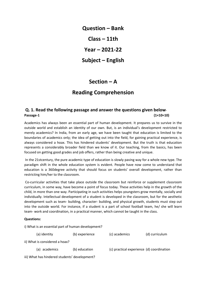**Question – Bank Class – 11th Year – 2021-22 Subject – English**

# **Section – A**

# **Reading Comprehension**

# **Q. 1. Read the following passage and answer the questions given below**-**Passage-1 (1×10=10)**

Academics has always been an essential part of human development. It prepares us to survive in the outside world and establish an identity of our own. But, is an individual's development restricted to merely academics? In India, from an early age, we have been taught that education is limited to the boundaries of academics only; the idea of getting out into the field, for gaining practical experience, is always considered a hoax. This has hindered students' development. But the truth is that education represents a considerably broader field than we know of it. Our teaching, from the basics, has been focused on getting good grades and job offers, rather than being creative and unique.

In the 21stcentury, the pure academic type of education is slowly paving way for a whole new type. The paradigm shift in the whole education system is evident. People have now come to understand that education is a 360degree activity that should focus on students' overall development, rather than restricting him/her to the classroom.

Co-curricular activities that take place outside the classroom but reinforce or supplement classroom curriculum, in some way, have become a point of focus today. These activities help in the growth of the child, in more than one way. Participating in such activities helps youngsters grow mentally, socially and individually. Intellectual development of a student is developed in the classroom, but for the aesthetic development such as team- building, character- building, and physical growth, students must step out into the outside world. For instance, if a student is a part of school football team, he/ she will learn team- work and coordination, in a practical manner, which cannot be taught in the class.

#### **Questions:**

| i) What is an essential part of human development? |                                |                |                                           |                |  |  |  |
|----------------------------------------------------|--------------------------------|----------------|-------------------------------------------|----------------|--|--|--|
|                                                    | (a) identity                   | (b) experience | (c) academics                             | (d) curriculum |  |  |  |
|                                                    | ii) What is considered a hoax? |                |                                           |                |  |  |  |
|                                                    | (a) academics                  | (b) education  | (c) practical experience (d) coordination |                |  |  |  |
| iii) What has hindered students' development?      |                                |                |                                           |                |  |  |  |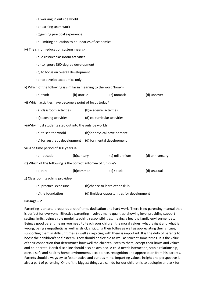| (a) working in outside world                                        |            |                                  |                |                 |  |
|---------------------------------------------------------------------|------------|----------------------------------|----------------|-----------------|--|
| (b)learning team work                                               |            |                                  |                |                 |  |
| (c)gaining practical experience                                     |            |                                  |                |                 |  |
| (d) limiting education to boundaries of academics                   |            |                                  |                |                 |  |
| iv) The shift in education system means-                            |            |                                  |                |                 |  |
| (a) o restrict classroom activities                                 |            |                                  |                |                 |  |
| (b) to ignore 360-degree development                                |            |                                  |                |                 |  |
| (c) to focus on overall development                                 |            |                                  |                |                 |  |
| (d) to develop academics only                                       |            |                                  |                |                 |  |
| v) Which of the following is similar in meaning to the word 'hoax'- |            |                                  |                |                 |  |
|                                                                     |            |                                  |                |                 |  |
| (a) truth<br>(b) untrue<br>(c) unmask<br>(d) uncover                |            |                                  |                |                 |  |
| vi) Which activities have become a point of focus today?            |            |                                  |                |                 |  |
| (b) academic activities<br>(a) classroom activities                 |            |                                  |                |                 |  |
| (c)teaching activities                                              |            | (d) co-curricular activities     |                |                 |  |
| vii) Why must students step out into the outside world?             |            |                                  |                |                 |  |
| (a) to see the world                                                |            | (b)for physical development      |                |                 |  |
| (c) for aesthetic development                                       |            | (d) for mental development       |                |                 |  |
| viii) The time period of 100 years is-                              |            |                                  |                |                 |  |
| (a) decade                                                          | (b)century |                                  | (c) millennium | (d) anniversary |  |
| ix) Which of the following is the correct antonym of 'unique'-      |            |                                  |                |                 |  |
| (a) rare                                                            | (b)common  |                                  | (c) special    | (d) unusual     |  |
| x) Classroom teaching provides-                                     |            |                                  |                |                 |  |
| (a) practical exposure                                              |            | (b) chance to learn other skills |                |                 |  |
|                                                                     |            |                                  |                |                 |  |

# (c)the foundation (d) limitless opportunities for development

#### **Passage – 2**

Parenting is an art. It requires a lot of time, dedication and hard work. There is no parenting manual that is perfect for everyone. Effective parenting involves many qualities- showing love, providing support setting limits, being a role model, teaching responsibilities, making a healthy family environment etc. Being a good parent means you need to teach your children the moral values; what is right and what is wrong; being sympathetic as well as strict; criticizing their follies as well as appreciating their virtues; supporting them in difficult times as well as rejoicing with them is important. It is the duty of parents to boost their children's self-esteem. They should be flexible as well as strict at some times. It is the value of their connection that determines how well the children listen to them, accept their limits and values and co-operate. Harsh discipline should also be avoided. A child needs interaction, stable relationship, care, a safe and healthy home environment, acceptance, recognition and appreciation from his parents. Parents should always try to foster active and curious mind. Imparting values, insight and perspective is also a part of parenting. One of the biggest things we can do for our children is to apologize and ask for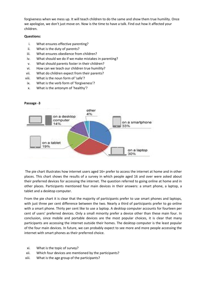forgiveness when we mess up. It will teach children to do the same and show them true humility. Once we apologize, we don't just move on. Now is the time to have a talk. Find out how it affected your children.

#### **Questions:**

- i. What ensures effective parenting?
- ii. What is the duty of parents?
- iii. What ensures obedience from children?
- iv. What should we do if we make mistakes in parenting?
- v. What should parents foster in their children?
- vi. How can we teach our children true humility?
- vii. What do children expect from their parents?
- viii. What is the noun form of 'safe'?
- ix. What is the verb form of 'forgiveness'?
- x. What is the antonym of 'healthy'?



#### **Passage -3**

The pie chart illustrates how internet users aged 16+ prefer to access the internet at home and in other places. This chart shows the results of a survey in which people aged 16 and over were asked about their preferred devices for accessing the internet. The question referred to going online at home and in other places. Participants mentioned four main devices in their answers: a smart phone, a laptop, a tablet and a desktop computer.

From the pie chart it is clear that the majority of participants prefer to use smart phones and laptops, with just three per cent difference between the two. Nearly a third of participants prefer to go online with a smart phone. Thirty per cent like to use a laptop. A desktop computer accounts for fourteen per cent of users' preferred devices. Only a small minority prefer a device other than these main four. In conclusion, since mobile and portable devices are the most popular choices, it is clear that many participants are accessing the internet outside their homes. The desktop computer is the least popular of the four main devices. In future, we can probably expect to see more and more people accessing the internet with smart phones as their preferred choice.

- xi. What is the topic of survey?
- xii. Which four devices are mentioned by the participants?
- xiii. What is the age group of the participants?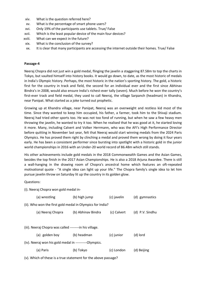- xiv. What is the question referred here?
- xv. What is the percentage of smart phone users?
- xvi. Only 19% of the participants use tablets. True/ False
- xvii. Which is the least popular device of the main four devices?
- xviii. What can we expect in the future?
- xix. What is the conclusion of the survey?
- xx. It is clear that many participants are accessing the internet outside their homes. True/ False

#### **Passage-4**

Neeraj Chopra did not just win a gold medal, flinging the javelin a staggering 87.58m to top the charts in Tokyo, but vaulted himself into history books. It would go down, to date, as the most historic of medals in India's Olympic history. Perhaps, the most historic in the nation's sporting history. The gold, a historic first for the country in track and field, the second for an individual ever and the first since Abhinav Bindra's in 2008, would also ensure India's richest-ever tally (seven). Much before he won the country's first-ever track and field medal, they used to call Neeraj, the village Sarpanch (headman) in Khandra, near Panipat. What started as a joke turned out prophetic.

Growing up at Khandra village, near Panipat, Neeraj was an overweight and restless kid most of the time. Since they wanted to keep him occupied, his father, a farmer, took him to the Shivaji stadium. Neeraj had tried other sports too. He was not too fond of running, but when he saw a few heavy men throwing the javelin, he wanted to try it too. When he realised that he was good at it, he started loving it more. Many, including Calvert and Volker Herrmann, who was the AFI's High Performance Director before quitting in November last year, felt that Neeraj would start winning medals from the 2024 Paris Olympics. He has proved them right by clinching a medal and proved them wrong by doing it four years early. He has been a consistent performer since bursting into spotlight with a historic gold in the junior world championships in 2016 with an Under-20 world record of 86.48m which still stands.

His other achievements include gold medals in the 2018 Commonwealth Games and the Asian Games, besides the top finish in the 2017 Asian Championships. He is also a 2018 Arjuna Awardee. There is still a wall-hanging in the drawing room of Chopra's ancestral home which features an oft-repeated motivational quote - "A single idea can light up your life." The Chopra family's single idea to let him pursue javelin throw on Saturday lit up the country in its golden glow.

#### Questions:

(i). Neeraj Chopra won gold medal in-

|                                                                | (a) wrestling                                           | (b) high jump      | (c) javelin | (d) gymnastics  |  |  |
|----------------------------------------------------------------|---------------------------------------------------------|--------------------|-------------|-----------------|--|--|
| (ii). Who won the first gold medal in Olympics for India?      |                                                         |                    |             |                 |  |  |
|                                                                | (a) Neeraj Chopra                                       | (b) Abhinav Bindra | (c) Calvert | (d) P.V. Sindhu |  |  |
|                                                                |                                                         |                    |             |                 |  |  |
|                                                                | (iii). Neeraj Chopra was called --------in his village. |                    |             |                 |  |  |
|                                                                | (a) golden boy                                          | (b) headman        | (c) junior  | (d) lord        |  |  |
| (iv). Neeraj won his gold medal in ----------Olympics.         |                                                         |                    |             |                 |  |  |
|                                                                | (a) Paris                                               | (b) Tokyo          | (c) London  | (d) Beijing     |  |  |
| (v). Which of these is a true statement for the above passage? |                                                         |                    |             |                 |  |  |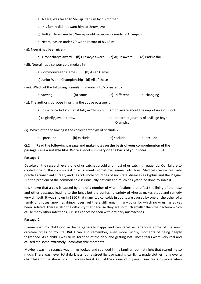- (a) Neeraj was taken to Shivaji Stadium by his mother.
- (b) His family did not want him to throw javelin.
- (c) Volker Herrmann felt Neeraj would never win a medal in Olympics.
- (d) Neeraj has an under 20-world record of 86.48 m.

(vi). Neeraj has been given-

| (a) Dronacharya award (b) Ekalavya award (c) Arjun award              |          |               | (d) Padmashri                               |
|-----------------------------------------------------------------------|----------|---------------|---------------------------------------------|
| (vii). Neeraj has also won gold medals in-                            |          |               |                                             |
| (a) Commonwealth Games (b) Asian Games                                |          |               |                                             |
| (c) Junior World Championship (d) All of these                        |          |               |                                             |
| (viii). Which of the following is similar in meaning to 'consistent'? |          |               |                                             |
| (a) varying                                                           | (b) same | (c) different | (d) changing                                |
| (ix). The author's purpose in writing the above passage is            |          |               |                                             |
| (a) to describe India's medal tally in Olympics                       |          |               | (b) to aware about the importance of sports |
| (c) to glorify javelin throw                                          |          | Olympics      | (d) to narrate journey of a village boy to  |
|                                                                       |          |               |                                             |

(x). Which of the following is the correct antonym of 'include'?

(a) preclude (b) exclude (c) seclude (d) occlude

## **Q.2 Read the following passage and make notes on the basis of your comprehension of the passage. Give a suitable title. Write a short summary on the basis of your notes. 4**

#### **Passage-1**

Despite all the research every one of us catches a cold and most of us catch it frequently. Our failure to control one of the commonest of all ailments sometimes seems ridiculous. Medical science regularly practices transplant surgery and has rid whole countries of such fatal diseases as Typhus and the Plague. But the problem of the common cold is unusually difficult and much has yet to be done to solve it.

It is known that a cold is caused by one of a number of viral infections that affect the lining of the nose and other passages leading to the lungs but the confusing variety of viruses makes study and remedy very difficult. It was shown in 1960 that many typical colds in adults are caused by one or the other of a family of viruses known as rhinoviruses, yet there still remain many colds for which no virus has as yet been isolated. There is also the difficulty that because they are so much smaller than the bacteria which cause many other infections, viruses cannot be seen with ordinary microscopes.

#### **Passage-2**

I remember my childhood as being generally happy and can recall experiencing some of the most carefree times of my life. But I can also remember, even more vividly, moments of being deeply frightened. As a child, I was truly -terrified of the dark and getting lost. These fears were very real and caused me some extremely uncomfortable moments.

Maybe it was the strange way things looked and sounded in my familiar room at night that scared me so much. There was never total darkness, but a street light or passing car lights made clothes hung over a chair take on the shape of an unknown beast. Out of the corner of my eye, I saw curtains move when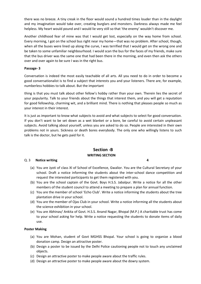there was no breeze. A tiny creak in the floor would sound a hundred times louder than in the daylight and my imagination would take over, creating burglars and monsters. Darkness always made me feel helpless. My heart would pound and I would lie very still so that 'the enemy' wouldn't discover me.

Another childhood fear of mine was that I would get lost, especially on the way home from school. Every morning, I got on the school bus right near my home—that was no problem. After school, though, when all the buses were lined up along the curve, I was terrified that I would get on the wrong one and be taken to some unfamiliar neighbourhood. I would scan the bus for the faces of my friends, make sure that the bus driver was the same one that had been there in the morning, and even then ask the others over and over again to be sure I was in the right bus.

#### **Passage- 3**

Conversation is indeed the most easily teachable of all arts. All you need to do in order to become a good conversationalist is to find a subject that interests you and your listeners. There are, for example, numberless hobbies to talk about. But the important

thing is that you must talk about other fellow's hobby rather than your own. Therein lies the secret of your popularity. Talk to your friends about the things that interest them, and you will get a reputation for good fellowship, charming wit, and a brilliant mind. There is nothing that pleases people so much as your interest in their interest.

It is just as important to know what subjects to avoid and what subjects to select for good conversation. If you don't want to be set down as a wet blanket or a bore, be careful to avoid certain unpleasant subjects. Avoid talking about yourself, unless you are asked to do so. People are interested in their own problems not in yours. Sickness or death bores everybody. The only one who willingly listens to such talk is the doctor, but he gets paid for it.

### **Section -B WRITING SECTION**

#### Q. 3 **Notice writing 4**

- (a) You are Jyoti of class XI of School of Excellence, Gwalior. You are the Cultural Secretary of your school. Draft a notice informing the students about the inter-school dance competition and request the interested participants to get them registered with you.
- (b) You are the school captain of the Govt. Boys H.S.S. Jabalpur. Write a notice for all the other members of the student council to attend a meeting to prepare a plan for annual function.
- (c) You are the member of school 'Echo Club'. Write a notice informing the students about the tree plantation drive in your school.
- (d) You are the member of Ojas Club in your school. Write a notice informing all the students about the science exhibition in your school.
- (e) You are Abhinav/ Ankita of Govt. H.S.S. Anand Nagar, Bhopal (M.P.) A charitable trust has come to your school asking for help. Write a notice requesting the students to donate items of daily use.

#### **Poster Making**

- (a) You are Mohan, student of Govt MGHSS Bhopal. Your school is going to organize a blood donation camp. Design an attractive poster.
- (b) Design a poster to be issued by the Delhi Police cautioning people not to touch any unclaimed objects.
- (c) Design an attractive poster to make people aware about the traffic rules.
- (d) Design an attractive poster to make people aware about the dowry system.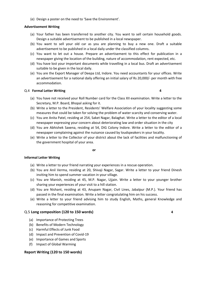(e) Design a poster on the need to 'Save the Environment'.

#### **Advertisement Writing**

- (a) Your father has been transferred to another city. You want to sell certain household goods. Design a suitable advertisement to be published in a local newspaper.
- (b) You want to sell your old car as you are planning to buy a new one. Draft a suitable advertisement to be published in a local daily under the classified columns.
- (c) You want to let out a house. Prepare an advertisement to this effect for publication in a newspaper giving the location of the building, nature of accommodation, rent expected, etc.
- (d) You have lost your important documents while travelling in a local bus. Draft an advertisement suitable to be given in the local daily.
- (e) You are the Export Manager of Deepa Ltd, Indore. You need accountants for your offices. Write an advertisement for a national daily offering an initial salary of Rs 20,000/- per month with free accommodation.

#### Q.4 **Formal Letter Writing 4**

- (a) You have not received your Roll Number card for the Class XII examination. Write a letter to the Secretary, M.P. Board, Bhopal asking for it.
- (b) Write a letter to the President, Residents' Welfare Association of your locality suggesting some measures that could be taken for solving the problem of water scarcity and conserving water.
- (c) You are Anita Patel, residing at 254, Saket Nagar, Balaghat. Write a letter to the editor of a local newspaper expressing your concern about deteriorating law and order situation in the city
- (d) You are Abhishek Saxena, residing at 54, DIG Colony Indore. Write a letter to the editor of a newspaper complaining against the nuisance caused by loudspeakers in your locality.
- (e) Write a letter to the Collector of your district about the lack of facilities and malfunctioning of the government hospital of your area.

**or** or the contract of  $\alpha$ 

#### **Informal Letter Writing**

- (a) Write a letter to your friend narrating your experiences in a rescue operation.
- (b) You are Anil Verma, residing at 20, Shivaji Nagar, Sagar. Write a letter to your friend Dinesh inviting him to spend summer vacation in your village.
- (c) You are Manish, residing at 45, M.P. Nagar, Ujjain. Write a letter to your younger brother sharing your experiences of your visit to a hill station.
- (d) You are Nishant, residing at 43, Anupam Nagar, Civil Lines, Jabalpur (M.P.). Your friend has passed in the final examination. Write a letter congratulating him on his success.
- (e) Write a letter to your friend advising him to study English, Maths, general Knowledge and reasoning for competitive examination.

#### Q.5 **Long composition (120 to 150 words) 4**

- (a) Importance of Protecting Trees
- (b) Benefits of Modern Technology
- (c) Harmful Effects of Junk Food
- (d) Impact and Prevention of Covid-19
- (e) Importance of Games and Sports
- (f) Impact of Global Warming

#### **Report Writing (120 to 150 words)**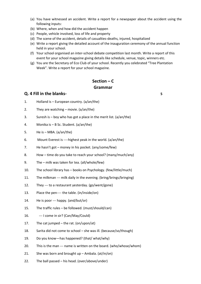- (a) You have witnessed an accident. Write a report for a newspaper about the accident using the following inputs:
- (b) Where, when and how did the accident happen
- (c) People, vehicle involved, loss of life and property
- (d) The scene of the accident, details of casualties-deaths, injured, hospitalized
- (e) Write a report giving the detailed account of the inauguration ceremony of the annual function held in your school.
- (f) Your school organised an inter-school debate competition last month. Write a report of this event for your school magazine giving details like schedule, venue, topic, winners etc.
- (g) You are the Secretary of Eco Club of your school. Recently you celebrated "Tree Plantation Week". Write a report for your school magazine.

# **Section – C Grammar**

#### **Q. 4 Fill in the blanks- 5**

- 1. Holland is European country. (a/an/the)
- 2. They are watching movie. (a/an/the)
- 3. Suresh is  $-$  boy who has got a place in the merit list. (a/an/the)
- 4. Monika is B Sc. Student. (a/an/the)
- 5. He is MBA. (a/an/the)
- 6. Mount Everest is ----highest peak in the world. (a/an/the)
- 7. He hasn't got money in his pocket. (any/some/few)
- 8. How time do you take to reach your school? (many/much/any)
- 9. The milk was taken for tea. (all/whole/few)
- 10. The school library has books on Psychology. (few/little/much)
- 11. The milkman --- milk daily in the evening. (bring/brings/bringing)
- 12. They --- to a restaurant yesterday. (go/went/gone)
- 13. Place the pen---- the table. (in/inside/on)
- 14. He is poor --- happy. (and/but/or)
- 15. The traffic rules be followed. (must/should/can)
- 16. --- I come in sir? (Can/May/Could)
- 17. The cat jumped the rat. (on/upon/at)
- 18. Sarita did not come to school she was ill. (because/so/though)
- 19. Do you know—has happened? (that/ what/why)
- 20. This is the man --- name is written on the board. (who/whose/whom)
- 21. She was born and brought up Ambala. (at/in/on)
- 22. The ball passed his head. (over/above/under)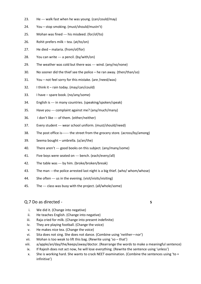- 23. He --- walk fast when he was young. (can/could/may)
- 24. You stop smoking. (must/should/mustn't)
- 25. Mohan was fined --- his misdeed. (for/of/to)
- 26. Rohit prefers milk tea. (at/to/on)
- 27. He died malaria. (from/of/for)
- 28. You can write --- a pencil. (by/with/on)
- 29. The weather was cold but there was --- wind. (any/no/none)
- 30. No sooner did the thief see the police he ran away. (then/than/so)
- 31. You not feel sorry for this mistake. (are /need/was)
- 32. I think it rain today. (may/can/could)
- 33. I have spare book. (no/any/some)
- 34. English is --- in many countries. (speaking/spoken/speak)
- 35. Have you --- complaint against me? (any/much/many)
- 36. I don't like --- of them. (either/neither)
- 37. Every student --- wear school uniform. (must/should/need)
- 38. The post office is------ the street from the grocery store. (across/by/among)
- 39. Seema bought umbrella. (a/an/the)
- 40. There aren't --- good books on this subject. (any/many/some)
- 41. Five boys were seated on --- bench. (each/every/all)
- 42. The table was --- by him. (broke/broken/break)
- 43. The man ---the police arrested last night is a big thief. (who/ whom/whose)
- 44. She often --- us in the evening. (visit/visits/visiting)
- 45. The --- class was busy with the project. (all/whole/some)

## Q.7 Do as directed - **5**

- i. We did it. (Change into negative)
- ii. He teaches English. (Change into negative)
- iii. Raja cried for milk. (Change into present indefinite)
- iv. They are playing football. (Change the voice)
- v. He makes nice tea. (Change the voice)
- vi. Sita does not sing. She does not dance. (Combine using 'neither—nor')
- vii. Mohan is too weak to lift this bag. (Rewrite using 'so that')
- viii. a/apple/an/day/the/keeps/away/doctor. (Rearrange the words to make a meaningful sentence)
- ix. If Rajesh does not act now, he will lose everything. (Rewrite the sentence using 'unless')
- x. She is working hard. She wants to crack NEET examination. (Combine the sentences using 'to + infinitive')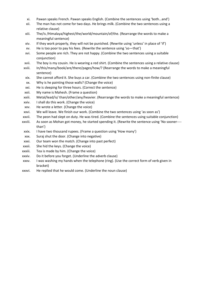- xi. Pawan speaks French. Pawan speaks English. (Combine the sentences using 'both…and')
- xii. The man has not come for two days. He brings milk. (Combine the two sentences using a relative clause)
- xiii. The/is /Himalaya/highest/the/world/mountain/of/the. (Rearrange the words to make a meaningful sentence)
- xiv. If they work properly, they will not be punished. (Rewrite using 'unless' in place of 'if')
- xv. He is too poor to pay his fees. (Rewrite the sentence using 'so—that')
- xvi. Some people are rich. They are not happy. (Combine the two sentences using a suitable conjunction)
- xvii. The boy is my cousin. He is wearing a red shirt. (Combine the sentences using a relative clause)
- xviii. In/this/many/book/are/there/pages/how/? (Rearrange the words to make a meaningful sentence)
- xix. She cannot afford it. She buys a car. (Combine the two sentences using non-finite clause)
- xx. Why is he painting those walls? (Change the voice)
- xxi. He is sleeping for three hours. (Correct the sentence)
- xxii. My name is Mahesh. (Frame a question)
- xxiii. Metal/lead/is/ than/other/any/heavier. (Rearrange the words to make a meaningful sentence)
- xxiv. I shall do this work. (Change the voice)
- xxv. He wrote a letter. (Change the voice)
- xxvi. We will leave. We finish our work. (Combine the two sentences using 'as soon as')
- xxvii. The peon had slept on duty. He was tired. (Combine the sentences using suitable conjunction)
- xxviii. As soon as Mohan got money, he started spending it. (Rewrite the sentence using 'No sooner--- than')
- xxix. I have two thousand rupees. (Frame a question using 'How many')
- xxx. Suraj shut the door. (Change into negative)
- xxxi. Our team won the match. (Change into past perfect)
- xxxii. She hid the keys. (Change the voice)
- xxxiii. Tea is made by him. (Change the voice)
- xxxiv. Do it before you forget. (Underline the adverb clause)
- xxxv. I was washing my hands when the telephone (ring). (Use the correct form of verb given in bracket)
- xxxvi. He replied that he would come. (Underline the noun clause)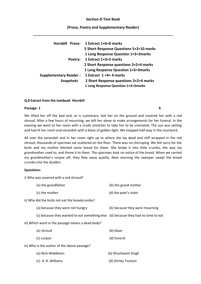#### **Section-D Text Book**

#### **(Prose, Poetry and Supplementary Reader)**

|                              | Hornbill Prose: 1 Extract 1×6=6 marks   |
|------------------------------|-----------------------------------------|
|                              | 5 Short Response Questions 5×2=10 marks |
|                              | 1 Long Response Question 1×3=3 marks    |
| Poetry:                      | 1 Extract 1×3=3 marks                   |
|                              | 2 Short Response questions 2×2=4 marks  |
|                              | 1 Long Response Question 1×3=3 marks    |
| <b>Supplementary Reader:</b> | 1 Extract $1 \times 4 = 4$ marks        |
| <b>Snapshots</b>             | 2 Short Response questions 2×2=4 marks  |
|                              | 1 Long Response Question 1×3=3marks     |

#### **Q.8 Extract from the textbook Hornbill**

#### **Passage- 1 6**

We lifted her off the bed and, as is customary, laid her on the ground and covered her with a red shroud. After a few hours of mourning, we left her alone to make arrangements for her funeral. In the evening we went to her room with a crude stretcher to take her to be cremated. The sun was setting and had lit her room and verandah with a blaze of golden light. We stopped half-way in the courtyard.

All over the verandah and in her room right up to where she lay dead and stiff wrapped in the red shroud, thousands of sparrows sat scattered on the floor. There was no chirruping. We felt sorry for the birds and my mother fetched some bread for them. She broke it into little crumbs, the way my grandmother used to, and threw it to them. The sparrows took no notice of the bread. When we carried my grandmother's corpse off, they flew away quietly. Next morning the sweeper swept the bread crumbs into the dustbin.

#### **Questions:**

i) Who was covered with a red shroud?

| (a) the grandfather                                                               | (b) the grand mother           |
|-----------------------------------------------------------------------------------|--------------------------------|
| (c) the mother                                                                    | (d) the poet's sister          |
| ii) Why did the birds not eat the breadcrumbs?                                    |                                |
| (a) because they were not hungry                                                  | (b) because they were mourning |
| (c) because they wanted to eat something else (d) because they had no time to eat |                                |
| iii) Which word in the passage means a dead body?                                 |                                |
| (a) shroud                                                                        | (b) blaze                      |
| (c) corpse                                                                        | (d) funeral                    |
| iv) Who is the author of the above passage?                                       |                                |
| (a) Nick Middleton                                                                | (b) Khushwant Singh            |

(c) A. R. Williams (d) Shirley Toulson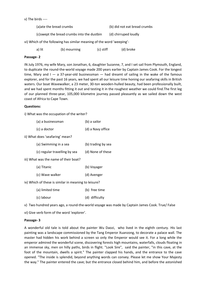#### v) The birds ----

| (a) ate the bread crumbs                                              | (b) did not eat bread crumbs |  |  |  |  |
|-----------------------------------------------------------------------|------------------------------|--|--|--|--|
| (c) swept the bread crumbs into the dustbin                           | (d) chirruped loudly         |  |  |  |  |
| vi) Which of the following has similar meaning of the word 'weeping'- |                              |  |  |  |  |

| a) lit | (b) mourning | (c) stiff | (d) broke |
|--------|--------------|-----------|-----------|
|        |              |           |           |

#### **Passage- 2**

IN July 1976, my wife Mary, son Jonathan, 6, daughter Suzanne, 7, and I set sail from Plymouth, England, to duplicate the round-the-world voyage made 200 years earlier by Captain James Cook. For the longest time, Mary and  $I - a 37$ -year-old businessman  $-$  had dreamt of sailing in the wake of the famous explorer, and for the past 16 years, we had spent all our leisure time honing our seafaring skills in British waters. Our boat Wavewalker, a 23 meter, 30-ton wooden-hulled beauty, had been professionally built, and we had spent months fitting it out and testing it in the roughest weather we could find.The first leg of our planned three-year, 105,000 kilometre journey passed pleasantly as we sailed down the west coast of Africa to Cape Town.

#### **Questions:**

i) What was the occupation of the writer?

| (a) a businessman | (b) a sailor      |
|-------------------|-------------------|
| (c) a doctor      | (d) a Navy office |

ii) What does 'seafaring' mean?

| (a) Swimming in a sea                 | (b) trading by sea |
|---------------------------------------|--------------------|
| (c) regular travelling by sea         | (d) None of these  |
| iii) What was the name of their boat? |                    |
| (a) Titanic                           | (b) Voyager        |
| (c) Wave walker                       | (d) Avenger        |

iv) Which of these is similar in meaning to leisure?

(a) limited time (b) free time (c) labour (d) difficulty

v) Two hundred years ago, a round-the-world voyage was made by Captain James Cook. True/ False

vi) Give verb form of the word 'explorer'.

#### **Passage- 3**

A wonderful old tale is told about the painter Wu Daozi, who lived in the eighth century. His last painting was a landscape commissioned by the Tang Emperor Xuanzong, to decorate a palace wall. The master had hidden his work behind a screen so only the Emperor would see it. For a long while the emperor admired the wonderful scene, discovering forests high mountains, waterfalls, clouds floating in an immense sky, men on hilly paths, birds in flight. "Look Sire", said the painter, "in this cave, at the foot of the mountain, dwells a spirit." The painter clapped his hands, and the entrance to the cave opened. "The inside is splendid, beyond anything words can convey. Please let me show Your Majesty the way." The painter entered the cave; but the entrance closed behind him, and before the astonished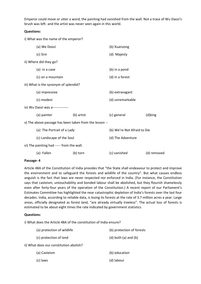Emperor could move or utter a word, the painting had vanished from the wall. Not a trace of Wu Daozi's brush was left- and the artist was never seen again in this world.

#### **Questions:**

i) What was the name of the emperor?

|                                                        | (a) We Doozi                          |            | (b) Xuanzong                |             |
|--------------------------------------------------------|---------------------------------------|------------|-----------------------------|-------------|
|                                                        | (c) Sire                              |            | (d) Majesty                 |             |
|                                                        | ii) Where did they go?                |            |                             |             |
|                                                        | (a) in a cave                         |            | (b) in a pond               |             |
|                                                        | (c) on a mountain                     |            | (d) in a forest             |             |
|                                                        | iii) What is the synonym of splendid? |            |                             |             |
|                                                        | (a) impressive                        |            | (b) extravagant             |             |
|                                                        | (c) modest                            |            | (d) unremarkable            |             |
| iv) Wu Daozi was a--------------                       |                                       |            |                             |             |
|                                                        | (a) painter                           | (b) artist | (c) general                 | (d)king     |
| v) The above passage has been taken from the lesson -- |                                       |            |                             |             |
|                                                        | (a) The Portrait of a Lady            |            | (b) We're Not Afraid to Die |             |
|                                                        | (c) Landscape of the Soul             |            | (d) The Adventure           |             |
| vi) The painting had ----- from the wall.              |                                       |            |                             |             |
|                                                        | (a) Fallen                            | (b) torn   | (c) vanished                | (d) removed |

#### **Passage- 4**

Article 48A of the Constitution of India provides that "the State shall endeavour to protect and improve the environment and to safeguard the forests and wildlife of the country". But what causes endless anguish is the fact that laws are never respected nor enforced in India. (For instance, the Constitution says that casteism, untouchability and bonded labour shall be abolished, but they flourish shamelessly even after forty-four years of the operation of the Constitution.) A recent report of our Parliament's Estimates Committee has highlighted the near catastrophic depletion of India's forests over the last four decades. India, according to reliable data, is losing its forests at the rate of 3.7 million acres a year. Large areas, officially designated as forest land, "are already virtually treeless". The actual loss of forests is estimated to be about eight times the rate indicated by government statistics.

#### **Questions:**

i) What does the Article 48A of the constitution of India ensure?

| (a) protection of wildlife              | (b) protection of forests  |
|-----------------------------------------|----------------------------|
| (c) protection of land                  | $(d)$ both $(a)$ and $(b)$ |
| ii) What does our constitution abolish? |                            |
| (a) Casteism                            | (b) education              |
| (c) laws                                | (d) labour                 |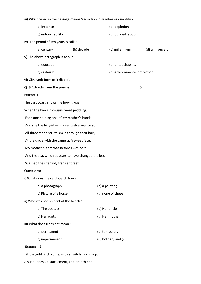iii) Which word in the passage means 'reduction in number or quantity'?

| (a) instance                                        | (b) depletion                |                 |
|-----------------------------------------------------|------------------------------|-----------------|
| (c) untouchability                                  | (d) bonded labour            |                 |
| iv) The period of ten years is called-              |                              |                 |
| (b) decade<br>(a) century                           | (c) millennium               | (d) anniversary |
| v) The above paragraph is about-                    |                              |                 |
| (a) education                                       | (b) untouchability           |                 |
| (c) casteism                                        | (d) environmental protection |                 |
| vi) Give verb form of 'reliable'.                   |                              |                 |
| Q. 9 Extracts from the poems                        |                              | 3               |
| Extract-1                                           |                              |                 |
| The cardboard shows me how it was                   |                              |                 |
| When the two girl cousins went peddling.            |                              |                 |
| Each one holding one of my mother's hands,          |                              |                 |
| And she the big girl ---- some twelve year or so.   |                              |                 |
| All three stood still to smile through their hair,  |                              |                 |
| At the uncle with the camera. A sweet face,         |                              |                 |
| My mother's, that was before I was born.            |                              |                 |
| And the sea, which appears to have changed the less |                              |                 |
| Washed their terribly transient feet.               |                              |                 |
| <b>Questions:</b>                                   |                              |                 |
| i) What does the cardboard show?                    |                              |                 |
| (a) a photograph                                    | (b) a painting               |                 |
| (c) Picture of a horse                              | (d) none of these            |                 |
| ii) Who was not present at the beach?               |                              |                 |
| (a) The poetess                                     | (b) Her uncle                |                 |
| (c) Her aunts                                       | (d) Her mother               |                 |
| iii) What does transient mean?                      |                              |                 |
| (a) permanent                                       | (b) temporary                |                 |
| (c) impermanent                                     | $(d)$ both $(b)$ and $(c)$   |                 |
|                                                     |                              |                 |

# **Extract – 2**

Till the gold finch come, with a twitching chirrup.

A suddenness, a startlement, at a branch end.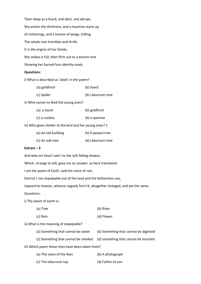Then sleep as a lizard, and alert, and abrupt, She enters the thickness, and a machine starts up of chitterings, and a tremor of wings, trilling. The whole tree trembles and thrills. It is the engine of her family. She stokes it full, then flirts out to a branch end. Showing her barred face identity mask.

#### **Questions:**

i) What is described as 'sleek' in the poem?

| (a) goldfinch | (b) lizard        |
|---------------|-------------------|
| (c) Spider    | (d) Laburnum tree |

ii) Who comes to feed the young ones?

| (a) a lizard | (b) goldfinch |
|--------------|---------------|
| (c) a cuckoo | (d) a sparrow |

iii) Who gives shelter to the bird and her young ones? S

| (a) An old building | (b) A peepul tree |
|---------------------|-------------------|
| (c) An oak tree     | (d) Laburnum tree |

#### **Extract – 3**

And who ort thou? said I to the soft falling shower,

Which, strange to tell, gave me an answer, as here translated:

I am the poem of Earth, said the voice of rain,

Eternal I rise impalpable out of the land and the bottomless sea,

Upward to heaven, whence vaguely form'd, altogether changed, and yet the same.

#### Questions:

i) The poem of earth is-

| (a) Tree | (b) River  |
|----------|------------|
| (c) Rain | (d) Flower |

ii) What is the meaning of impalpable?

| (a) Something that cannot be eaten                | (b) Something that cannot be digested |  |
|---------------------------------------------------|---------------------------------------|--|
| (c) Something that cannot be smelled              | (d) something that cannot be touched  |  |
| iii) Which poem these lines have been taken from? |                                       |  |

| (a) The voice of the Rain | (b) A photograph  |
|---------------------------|-------------------|
| (c) The laburnum top      | (d) Father to son |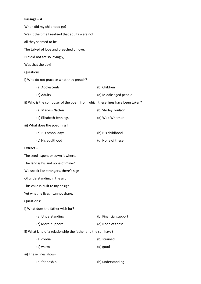# **Passage – 4**

|                   | When did my childhood go?                                                   |                        |
|-------------------|-----------------------------------------------------------------------------|------------------------|
|                   | Was it the time I realised that adults were not                             |                        |
|                   | all they seemed to be,                                                      |                        |
|                   | The talked of love and preached of love,                                    |                        |
|                   | But did not act so lovingly,                                                |                        |
|                   | Was that the day!                                                           |                        |
| Questions:        |                                                                             |                        |
|                   | i) Who do not practice what they preach?                                    |                        |
|                   | (a) Adolescents                                                             | (b) Children           |
|                   | (c) Adults                                                                  | (d) Middle aged people |
|                   | ii) Who is the composer of the poem from which these lines have been taken? |                        |
|                   | (a) Markus Natten                                                           | (b) Shirley Toulson    |
|                   | (c) Elizabeth Jennings                                                      | (d) Walt Whitman       |
|                   | iii) What does the poet miss?                                               |                        |
|                   | (a) His school days                                                         | (b) His childhood      |
|                   | (c) His adulthood                                                           | (d) None of these      |
| Extract-5         |                                                                             |                        |
|                   | The seed I spent or sown it where,                                          |                        |
|                   | The land is his and none of mine?                                           |                        |
|                   | We speak like strangers, there's sign                                       |                        |
|                   | Of understanding in the air,                                                |                        |
|                   | This child is built to my design                                            |                        |
|                   | Yet what he lives I cannot share,                                           |                        |
| <b>Questions:</b> |                                                                             |                        |
|                   | i) What does the father wish for?                                           |                        |
|                   | (a) Understanding                                                           | (b) Financial support  |
|                   | (c) Moral support                                                           | (d) None of these      |
|                   | ii) What kind of a relationship the father and the son have?                |                        |
|                   | (a) cordial                                                                 | (b) strained           |
|                   | (c) warm                                                                    | (d) good               |
|                   | iii) These lines show-                                                      |                        |
|                   | (a) friendship                                                              | (b) understanding      |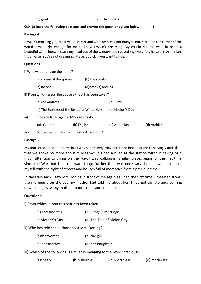### **Q.9 (B) Read the following passages and answer the questions given below – 4**

#### **Passage-1**

It wasn't morning yet, but it was summer and with daybreak not many minutes around the corner of the world it was light enough for me to know I wasn't dreaming. My cousin Mourad was sitting on a beautiful white horse. I stuck my head out of the window and rubbed my eyes. Yes, he said in Armenian. It's a horse. You're not dreaming. Make it quick if you want to ride.

#### **Questions**

i) Who was sitting on the horse?

| (a) cousin of the speaker | (b) the speaker            |
|---------------------------|----------------------------|
| (c) no one                | $(d)$ both $(a)$ and $(b)$ |

ii) From which lesson the above extract has been taken?

|      | (a)The Address                      |                                             | (b) Birth       |             |  |
|------|-------------------------------------|---------------------------------------------|-----------------|-------------|--|
|      |                                     | (c) The Summer of the Beautiful White Horse | (d)Mother's Day |             |  |
| iii) | In which language did Mourad speak? |                                             |                 |             |  |
|      | (a) German                          | (b) English                                 | (c) Armenian    | (d) Arabian |  |
|      |                                     |                                             |                 |             |  |

iv) Write the noun form of the word 'beautiful'.

#### **Passage-2**

My mother seemed to notice that I was not entirely convinced. She looked at me reprovingly and after that we spoke no more about it. Meanwhile I had arrived at the station without having paid much attention to things on the way. I was walking in familiar places again for the first time since the War, but I did not want to go further than was necessary. I didn't want to upset myself with the sight of streets and houses full of memories from a precious time.

In the train back I saw Mrs Dorling in front of me again as I had the first time, I met her. It was the morning after the day my mother had told me about her. I had got up late and, coming downstairs, I saw my mother about to see someone out.

#### **Questions:**

i) From which lesson this text has been taken-

| (a) The Address | (b) Ranga's Marriage       |
|-----------------|----------------------------|
| (c)Mother's Day | (d) The Tale of Melon City |

ii) Who has told the author about Mrs. Dorling?

| (a)the woman | (b) the girl |
|--------------|--------------|
|--------------|--------------|

(c) her mother (d) her daughter

iii) Which of the following is similar in meaning to the word 'precious'-

| (a)cheap | (b) valuable | (c) worthless | (d) moderate |
|----------|--------------|---------------|--------------|
|----------|--------------|---------------|--------------|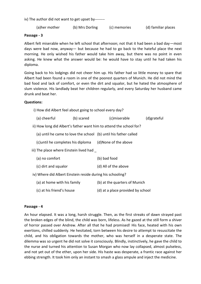iv) The author did not want to get upset by--------

(a)her mother (b) Mrs Dorling (c) memories (d) familiar places

#### **Passage - 3**

Albert felt miserable when he left school that afternoon; not that it had been a bad day—most days were bad now, anyway— but because he had to go back to the hateful place the next morning. He only wished his father would take him away, but there was no point in even asking. He knew what the answer would be: he would have to stay until he had taken his diploma.

Going back to his lodgings did not cheer him up. His father had so little money to spare that Albert had been found a room in one of the poorest quarters of Munich. He did not mind the bad food and lack of comfort, or even the dirt and squalor, but he hated the atmosphere of slum violence. His landlady beat her children regularly, and every Saturday her husband came drunk and beat her.

#### **Ques**

| <b>Questions:</b>                                       |            |                                                                     |             |
|---------------------------------------------------------|------------|---------------------------------------------------------------------|-------------|
| i) How did Albert feel about going to school every day? |            |                                                                     |             |
| (a) cheerful                                            | (b) scared | (c)miserable                                                        | (d)grateful |
|                                                         |            | ii) How long did Albert's father want him to attend the school for? |             |
|                                                         |            | (a) until he came to love the school (b) until his father called    |             |
|                                                         |            | (c) until he completes his diploma (d) None of the above            |             |
| iii) The place where Einstein lived had                 |            |                                                                     |             |
| (a) no comfort                                          |            | (b) bad food                                                        |             |
| (c) dirt and squalor                                    |            | (d) All of the above                                                |             |
|                                                         |            |                                                                     |             |

iv) Where did Albert Einstein reside during his schooling?

| (a) at home with his family | (b) at the quarters of Munich |
|-----------------------------|-------------------------------|
|-----------------------------|-------------------------------|

(c) at his friend's house (d) at a place provided by school

#### **Passage - 4**

An hour elapsed. It was a long, harsh struggle. Then, as the first streaks of dawn strayed past the broken edges of the blind, the child was born, lifeless. As he gazed at the still form a shiver of horror passed over Andrew. After all that he had promised! His face, heated with his own exertions, chilled suddenly. He hesitated, torn between his desire to attempt to resuscitate the child, and his obligation towards the mother, who was herself in a desperate state. The dilemma was so urgent he did not solve it consciously. Blindly, instinctively, he gave the child to the nurse and turned his attention to Susan Morgan who now lay collapsed, almost pulseless, and not yet out of the ether, upon her side. His haste was desperate, a frantic race against her ebbing strength. It took him only an instant to smash a glass ampule and inject the medicine.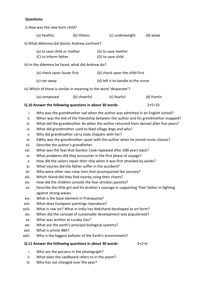# **Questions:**

i) How was the new born child?

|                                                                                                                                                                                 | (a) healthy                                                                                                                                                                                                                                                                                                                                                                                                                                                                                                                                                    | (b) lifeless | (c) underweight                                                                                                                                                                                                                                                                                                                                                                                                                                                                                                                                                                                                                                                                                                                                                                                                                                                                                                                 | (d) weak          |
|---------------------------------------------------------------------------------------------------------------------------------------------------------------------------------|----------------------------------------------------------------------------------------------------------------------------------------------------------------------------------------------------------------------------------------------------------------------------------------------------------------------------------------------------------------------------------------------------------------------------------------------------------------------------------------------------------------------------------------------------------------|--------------|---------------------------------------------------------------------------------------------------------------------------------------------------------------------------------------------------------------------------------------------------------------------------------------------------------------------------------------------------------------------------------------------------------------------------------------------------------------------------------------------------------------------------------------------------------------------------------------------------------------------------------------------------------------------------------------------------------------------------------------------------------------------------------------------------------------------------------------------------------------------------------------------------------------------------------|-------------------|
|                                                                                                                                                                                 | ii) What dilemma did doctor Andrew confront?                                                                                                                                                                                                                                                                                                                                                                                                                                                                                                                   |              |                                                                                                                                                                                                                                                                                                                                                                                                                                                                                                                                                                                                                                                                                                                                                                                                                                                                                                                                 |                   |
|                                                                                                                                                                                 | (a) to save child or mother<br>(C) to inform father                                                                                                                                                                                                                                                                                                                                                                                                                                                                                                            |              | (b) to save mother<br>(D) to save child                                                                                                                                                                                                                                                                                                                                                                                                                                                                                                                                                                                                                                                                                                                                                                                                                                                                                         |                   |
|                                                                                                                                                                                 | iii) In the dilemma he faced, what did Andrew do?                                                                                                                                                                                                                                                                                                                                                                                                                                                                                                              |              |                                                                                                                                                                                                                                                                                                                                                                                                                                                                                                                                                                                                                                                                                                                                                                                                                                                                                                                                 |                   |
|                                                                                                                                                                                 | (a) check upon Susan first                                                                                                                                                                                                                                                                                                                                                                                                                                                                                                                                     |              | (b) check upon the child first                                                                                                                                                                                                                                                                                                                                                                                                                                                                                                                                                                                                                                                                                                                                                                                                                                                                                                  |                   |
|                                                                                                                                                                                 | (c) ran away                                                                                                                                                                                                                                                                                                                                                                                                                                                                                                                                                   |              | (d) left it to handle to the nurse                                                                                                                                                                                                                                                                                                                                                                                                                                                                                                                                                                                                                                                                                                                                                                                                                                                                                              |                   |
|                                                                                                                                                                                 | Iv) Which of these is similar in meaning to the word 'desperate'?                                                                                                                                                                                                                                                                                                                                                                                                                                                                                              |              |                                                                                                                                                                                                                                                                                                                                                                                                                                                                                                                                                                                                                                                                                                                                                                                                                                                                                                                                 |                   |
|                                                                                                                                                                                 | (a) composed                                                                                                                                                                                                                                                                                                                                                                                                                                                                                                                                                   | (b) cheerful | (c) fearful                                                                                                                                                                                                                                                                                                                                                                                                                                                                                                                                                                                                                                                                                                                                                                                                                                                                                                                     | (d) frantic       |
|                                                                                                                                                                                 | Q.10 Answer the following questions in about 30 words-                                                                                                                                                                                                                                                                                                                                                                                                                                                                                                         |              |                                                                                                                                                                                                                                                                                                                                                                                                                                                                                                                                                                                                                                                                                                                                                                                                                                                                                                                                 | $2 \times 5 = 10$ |
| i.<br>ii.<br>iii.<br>iv.<br>v.<br>vi.<br>vii.<br>viii.<br>ix.<br>X.<br>xi.<br>xii.<br>xiii.<br>xiv.<br>XV.<br>xvi.<br>xvii.<br>xviii.<br>xix.<br>XX.<br>xxi.<br>xxii.<br>xxiii. | Why did grandmother carry stale chapatis with her?<br>Describe the author's grandfather.<br>What injuries did the father suffer in the accident?<br>Which Island did they find nearby using their charts?<br>How did the children console the fear-stricken parents?<br>against strong waves.<br>What is the base element in Pranayama?<br>What does European paintings reproduce?<br>What was written at Lusaka Zoo?<br>What are the earth's principal biological systems?<br>What is article 48A?<br>Who is the biggest polluter of the Earth's environment? |              | Why was the grandmother sad when the author was admitted in an English school?<br>When was the link of the friendship between the author and his grandmother snapped?<br>What did the grandmother do when the author returned from abroad after five years?<br>What did grandmother used to feed village dogs and why?<br>6Why was the grandmother upset with the author when he joined music classes?<br>What was the feat that Gordon Cook repeated after 200 years back?<br>What problems did they encounter in the first phase of voyage?<br>How did the sailors repair their ship when it was first attacked by winds?<br>Who were other two crew men that accompanied the journey?<br>Describe the little girl and his brother's courage in supporting Their father in fighting<br>What is raw art? What in India has Nekchand developed as art form?<br>When did the concept of sustainable development was popularised? |                   |
|                                                                                                                                                                                 | Q.11 Answer the following questions in about 30 words-                                                                                                                                                                                                                                                                                                                                                                                                                                                                                                         |              | $3\times2=6$                                                                                                                                                                                                                                                                                                                                                                                                                                                                                                                                                                                                                                                                                                                                                                                                                                                                                                                    |                   |
| i.                                                                                                                                                                              | Who are the persons in the photograph?                                                                                                                                                                                                                                                                                                                                                                                                                                                                                                                         |              |                                                                                                                                                                                                                                                                                                                                                                                                                                                                                                                                                                                                                                                                                                                                                                                                                                                                                                                                 |                   |

- ii. What does the cardboard refers to in the poem?
- iii. Who has not changed over the year?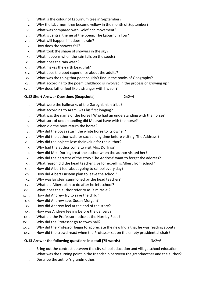- iv. What is the colour of Laburnum tree in September?
- v. Why the laburnum tree become yellow in the month of September?
- vi. What was compared with Goldfinch movement?
- vii. What is central theme of the poem, The Laburnum Top?
- viii. What will happen if it doesn't rain?
- ix. How does the shower fall?
- x. What took the shape of showers in the sky?
- xi. What happens when the rain falls on the seeds?
- xii. What does the rain wash?
- xiii. What makes the earth beautiful?
- xiv. What does the poet experience about the adults?
- xv. What was the thing that poet couldn't find in the books of Geography?
- xvi. What according to the poem Childhood is involved in the process of growing up?
- xvii. Why does father feel like a stranger with his son?

# **Q.12 Short Answer Questions (Snapshots)** 2×2=4

- i. What were the hallmarks of the Garoghlanian tribe?
- ii. What according to Aram, was his first longing?
- iii. What was the name of the horse? Who had an understanding with the horse?
- iv. What sort of understanding did Mourad have with the horse?
- v. When did the boys return the horse?
- vi. Why did the boys return the white horse to its owner?
- vii. Why did the author wait for such a long time before visiting 'The Address'?
- viii. Why did the objects lose their value for the author?
- ix. Why had the author come to visit Mrs. Dorling?
- x. How did Mrs. Dorling treat the author when the author visited her?
- xi. Why did the narrator of the story 'The Address' want to forget the address?
- xii. What reason did the head teacher give for expelling Albert from school?
- xiii. How did Albert feel about going to school every day?
- xiv. How did Albert Einstein plan to leave the school?
- xv. Why was Einstein summoned by the head teacher?
- xvi. What did Albert plan to do after he left school?
- xvii. What does the author refer to as 'a miracle'?
- xviii. How did Andrew try to save the child?
- xix. How did Andrew save Susan Morgan?
- xx. How did Andrew feel at the end of the story?
- xxi. How was Andrew feeling before the delivery?
- xxii. What did the Professor notice at the Hornby Road?
- xxiii. Why did the Professor go to town hall?
- xxiv. Why did the Professor begin to appreciate the new India that he was reading about?
- xxv. How did the crowd react when the Professor sat on the empty presidential chair?

# **Q.13 Answer the following questions in detail (75 words)** 3×2=6

- i. Bring out the contrast between the city school education and village school education.
- ii. What was the turning point in the friendship between the grandmother and the author?
- iii. Describe the author's grandmother.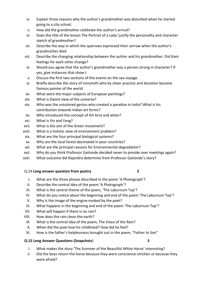- iv. Explain three reasons why the author's grandmother was disturbed when he started going to a city school.
- v. How did the grandmother celebrate the author's arrival?
- vi. Does the title of the lesson The Portrait of a Lady' justify the personality and character sketch of grandmother?
- vii. Describe the way in which the sparrows expressed their sorrow when the author's grandmother died
- viii. Describe the changing relationship between the author and his grandmother. Did their feelings for each other change?
- ix. Would you agree that the author's grandmother was a person strong in character? If yes, give instances that show t
- x. Discuss the first two sections of the events on the sea voyage.
- xi. Briefly describe the story of ironsmith who by sheer practice and devotion became famous painter of the world.
- xii. What were the major subjects of European paintings?
- xiii. What is Daoist view of the universe?
- xiv. Who was the untutored genius who created a paradise in India? What is his contribution towards Indian art forms?
- xv. Who introduced the concept of Art brut and when?
- xvi. What is Yin and Yang?
- xvii. What is the aim of the Green movement?
- xviii. What is a holistic view of environment problem?
- xix. What are the four principal biological systems?
- xx. Why are the local forest decimated in poor countries?
- xxi. What are the principal reasons for Environmental degradation?
- xxii. Why do you think Professor Gaitonde decided never to preside over meetings again?
- xxiii. What outcome did Rajendra determine from Professor Gaitonde's story?

# Q.14 **Long answer question from poetry 3**

- I. What are the three phases described in the poem 'A Photograph'?
- II. Describe the central idea of the poem 'A Photograph'?
- III. What is the central theme of the poem, 'The Laburnum Top'?
- IV. What do you notice about the beginning and end of the poem 'The Laburnum Top'?
- V. Why is the image of the engine evoked by the poet?
- VI. What happens in the beginning and end of the poem 'The Laburnum Top'?
- VII. What will happen if there is no rain?
- VIII. How does the rain clean the earth?
- IX. What is the central idea of the poem, The Voice of the Rain?
- X. When did the poet lose his childhood? How did he feel?
- XI. How is the father's helplessness brought out in the poem, "Father to Son"

# **Q.15 Long Answer Questions (Snapshots**) **3**

- 
- i. What makes the story 'The Summer of the Beautiful White Horse' interesting?
- ii. Did the boys return the horse because they were conscience-stricken or because they were afraid?